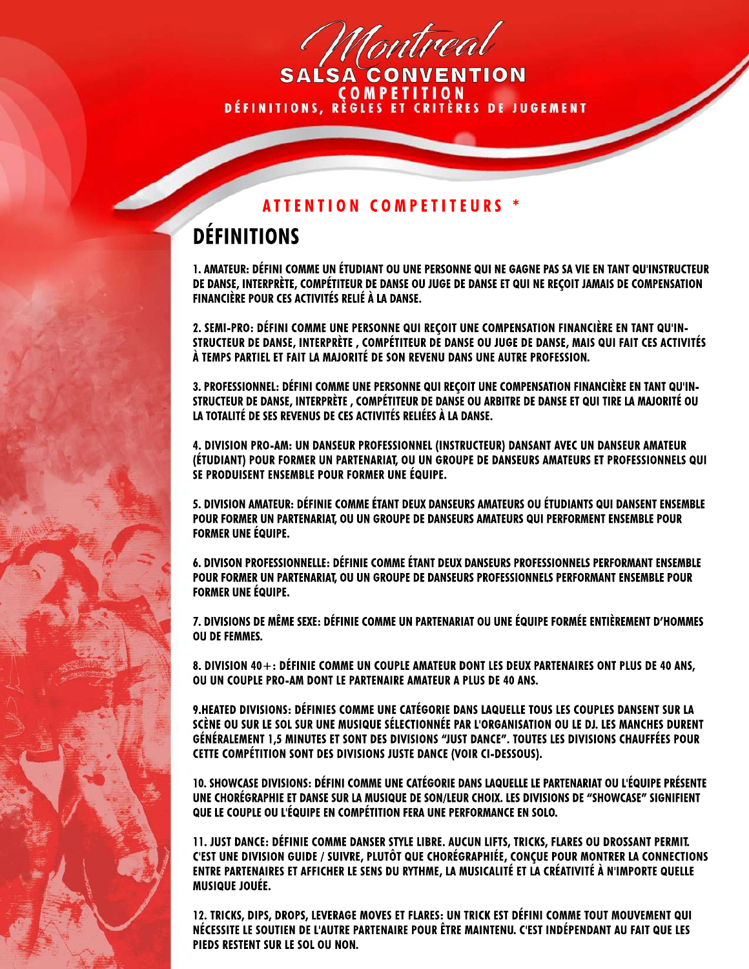Montreal

**COMPETITION<br>DÉFINITIONS, RÈGLES ET CRITÈRES DE JUGEMENT** 

## **ATTENTION COMPETITEURS \***

## **DÉFINITIONS**

**1. AMATEUR: DÉFINI COMME UN ÉTUDIANT OU UNE PERSONNE QUI NE GAGNE PAS SA VIE EN TANT QU'INSTRUCTEUR DE DANSE, INTERPRÈTE, COMPÉTITEUR DE DANSE OU JUGE DE DANSE ET QUI NE REÇOIT JAMAIS DE COMPENSATION FINANCIÈRE POUR CES ACTIVITÉS RELIÉ À LA DANSE.**

2. SEMI-PRO: DÉFINI COMME UNE PERSONNE QUI REÇOIT UNE COMPENSATION FINANCIÈRE EN TANT QU'IN-**STRUCTEUR DE DANSE, INTERPRÈTE , COMPÉTITEUR DE DANSE OU JUGE DE DANSE, MAIS QUI FAIT CES ACTIVITÉS À TEMPS PARTIEL ET FAIT LA MAJORITÉ DE SON REVENU DANS UNE AUTRE PROFESSION.**

**3. PROFESSIONNEL: DÉFINI COMME UNE PERSONNE QUI REÇOIT UNE COMPENSATION FINANCIÈRE EN TANT QU'IN-STRUCTEUR DE DANSE, INTERPRÈTE , COMPÉTITEUR DE DANSE OU ARBITRE DE DANSE ET QUI TIRE LA MAJORITÉ OU LA TOTALITÉ DE SES REVENUS DE CES ACTIVITÉS RELIÉES À LA DANSE.**

**4. DIVISION PRO-AM: UN DANSEUR PROFESSIONNEL (INSTRUCTEUR) DANSANT AVEC UN DANSEUR AMATEUR (ÉTUDIANT) POUR FORMER UN PARTENARIAT, OU UN GROUPE DE DANSEURS AMATEURS ET PROFESSIONNELS QUI SE PRODUISENT ENSEMBLE POUR FORMER UNE ÉQUIPE.**

**5. DIVISION AMATEUR: DÉFINIE COMME ÉTANT DEUX DANSEURS AMATEURS OU ÉTUDIANTS QUI DANSENT ENSEMBLE POUR FORMER UN PARTENARIAT, OU UN GROUPE DE DANSEURS AMATEURS QUI PERFORMENT ENSEMBLE POUR FORMER UNE ÉQUIPE.**

6. DIVISON PROFESSIONNELLE: DÉFINIE COMME ÉTANT DEUX DANSEURS PROFESSIONNELS PERFORMANT ENSEMBLE **POUR FORMER UN PARTENARIAT, OU UN GROUPE DE DANSEURS PROFESSIONNELS PERFORMANT ENSEMBLE POUR FORMER UNE ÉQUIPE.**

**7. DIVISIONS DE MÊME SEXE: DÉFINIE COMME UN PARTENARIAT OU UNE ÉQUIPE FORMÉE ENTIÈREMENT D'HOMMES OU DE FEMMES.**

**8. DIVISION 40+: DÉFINIE COMME UN COUPLE AMATEUR DONT LES DEUX PARTENAIRES ONT PLUS DE 40 ANS, OU UN COUPLE PRO-AM DONT LE PARTENAIRE AMATEUR A PLUS DE 40 ANS.**

**9.HEATED DIVISIONS: DÉFINIES COMME UNE CATÉGORIE DANS LAQUELLE TOUS LES COUPLES DANSENT SUR LA SCÈNE OU SUR LE SOL SUR UNE MUSIQUE SÉLECTIONNÉE PAR L'ORGANISATION OU LE DJ. LES MANCHES DURENT GÉNÉRALEMENT 1,5 MINUTES ET SONT DES DIVISIONS "JUST DANCE". TOUTES LES DIVISIONS CHAUFFÉES POUR CETTE COMPÉTITION SONT DES DIVISIONS JUSTE DANCE (VOIR CI-DESSOUS).**

**10. SHOWCASE DIVISIONS: DÉFINI COMME UNE CATÉGORIE DANS LAQUELLE LE PARTENARIAT OU L'ÉQUIPE PRÉSENTE UNE CHORÉGRAPHIE ET DANSE SUR LA MUSIQUE DE SON/LEUR CHOIX. LES DIVISIONS DE "SHOWCASE" SIGNIFIENT QUE LE COUPLE OU L'ÉQUIPE EN COMPÉTITION FERA UNE PERFORMANCE EN SOLO.**

**11. JUST DANCE: DÉFINIE COMME DANSER STYLE LIBRE. AUCUN LIFTS, TRICKS, FLARES OU DROSSANT PERMIT. C'EST UNE DIVISION GUIDE / SUIVRE, PLUTÔT QUE CHORÉGRAPHIÉE, CONÇUE POUR MONTRER LA CONNECTIONS ENTRE PARTENAIRES ET AFFICHER LE SENS DU RYTHME, LA MUSICALITÉ ET LA CRÉATIVITÉ À N'IMPORTE QUELLE MUSIQUE JOUÉE.**

**12. TRICKS, DIPS, DROPS, LEVERAGE MOVES ET FLARES: UN TRICK EST DÉFINI COMME TOUT MOUVEMENT QUI NÉCESSITE LE SOUTIEN DE L'AUTRE PARTENAIRE POUR ÊTRE MAINTENU. C'EST INDÉPENDANT AU FAIT QUE LES PIEDS RESTENT SUR LE SOL OU NON.**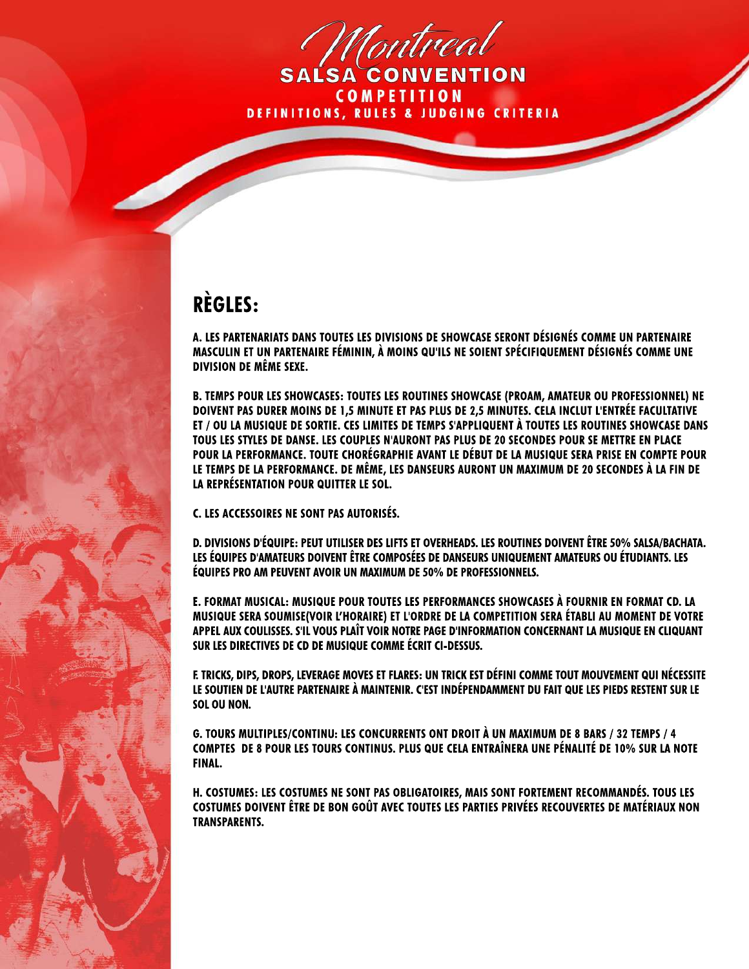Montreal

**COMPETITION DEFINITIONS, RULES & JUDGING CRITERIA** 

## **RÈGLES:**

**A. LES PARTENARIATS DANS TOUTES LES DIVISIONS DE SHOWCASE SERONT DÉSIGNÉS COMME UN PARTENAIRE MASCULIN ET UN PARTENAIRE FÉMININ, À MOINS QU'ILS NE SOIENT SPÉCIFIQUEMENT DÉSIGNÉS COMME UNE DIVISION DE MÊME SEXE.**

**B. TEMPS POUR LES SHOWCASES: TOUTES LES ROUTINES SHOWCASE (PROAM, AMATEUR OU PROFESSIONNEL) NE DOIVENT PAS DURER MOINS DE 1,5 MINUTE ET PAS PLUS DE 2,5 MINUTES. CELA INCLUT L'ENTRÉE FACULTATIVE ET / OU LA MUSIQUE DE SORTIE. CES LIMITES DE TEMPS S'APPLIQUENT À TOUTES LES ROUTINES SHOWCASE DANS TOUS LES STYLES DE DANSE. LES COUPLES N'AURONT PAS PLUS DE 20 SECONDES POUR SE METTRE EN PLACE POUR LA PERFORMANCE. TOUTE CHORÉGRAPHIE AVANT LE DÉBUT DE LA MUSIQUE SERA PRISE EN COMPTE POUR LE TEMPS DE LA PERFORMANCE. DE MÊME, LES DANSEURS AURONT UN MAXIMUM DE 20 SECONDES À LA FIN DE LA REPRÉSENTATION POUR QUITTER LE SOL.**

**C. LES ACCESSOIRES NE SONT PAS AUTORISÉS.**

**D. DIVISIONS D'ÉQUIPE: PEUT UTILISER DES LIFTS ET OVERHEADS. LES ROUTINES DOIVENT ÊTRE 50% SALSA/BACHATA. LES ÉQUIPES D'AMATEURS DOIVENT ÊTRE COMPOSÉES DE DANSEURS UNIQUEMENT AMATEURS OU ÉTUDIANTS. LES ÉQUIPES PRO AM PEUVENT AVOIR UN MAXIMUM DE 50% DE PROFESSIONNELS.**

**E. FORMAT MUSICAL: MUSIQUE POUR TOUTES LES PERFORMANCES SHOWCASES À FOURNIR EN FORMAT CD. LA MUSIQUE SERA SOUMISE(VOIR L'HORAIRE) ET L'ORDRE DE LA COMPETITION SERA ÉTABLI AU MOMENT DE VOTRE APPEL AUX COULISSES. S'IL VOUS PLAÎT VOIR NOTRE PAGE D'INFORMATION CONCERNANT LA MUSIQUE EN CLIQUANT SUR LES DIRECTIVES DE CD DE MUSIQUE COMME ÉCRIT CI-DESSUS.**

**F. TRICKS, DIPS, DROPS, LEVERAGE MOVES ET FLARES: UN TRICK EST DÉFINI COMME TOUT MOUVEMENT QUI NÉCESSITE LE SOUTIEN DE L'AUTRE PARTENAIRE À MAINTENIR. C'EST INDÉPENDAMMENT DU FAIT QUE LES PIEDS RESTENT SUR LE SOL OU NON.**

**G. TOURS MULTIPLES/CONTINU: LES CONCURRENTS ONT DROIT À UN MAXIMUM DE 8 BARS / 32 TEMPS / 4 COMPTES DE 8 POUR LES TOURS CONTINUS. PLUS QUE CELA ENTRAÎNERA UNE PÉNALITÉ DE 10% SUR LA NOTE FINAL.**

**H. COSTUMES: LES COSTUMES NE SONT PAS OBLIGATOIRES, MAIS SONT FORTEMENT RECOMMANDÉS. TOUS LES COSTUMES DOIVENT ÊTRE DE BON GOÛT AVEC TOUTES LES PARTIES PRIVÉES RECOUVERTES DE MATÉRIAUX NON TRANSPARENTS.**